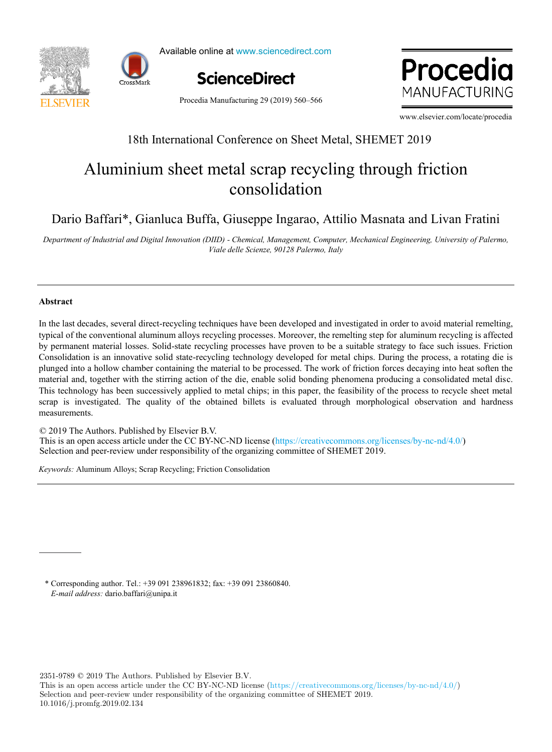



Available online at www.sciencedirect.com ble online at www.sciencedirect.c



Procedia **MANUFACTURING** 

Procedia Manufacturing 29 (2019) 560–566

www.elsevier.com/locate/procedia

# 18th International Conference on Sheet Metal, SHEMET 2019 18th International Conference on Sheet Metal, SHEMET 2019

## $\frac{1}{2}$  Manufacturing Society International Consolidation  $2015011441011$ Aluminium sheet metal scrap recycling through friction Aluminium sheet metal scrap recycling through friction consolidation

Dario Barian , Giamuca Buria, Giuseppe ingarao, Aumo mashata and Livan Piatini  $D \cap B$   $\infty$  is  $G \cap A$  by  $D \cap C$ ,  $G' \cap A$  and  $M \cap A$  and  $M' \cap D$ Dario Baffari\*, Gianluca Buffa, Giuseppe Ingarao, Attilio Masnata and Livan Fratini

Department of Industrial and Digital Innovation (DIID) - Chemical, Management, Computer, Mechanical Engineering, University of Palermo,<br>Viale delle Scienze, 90128 Palermo, Italy *Viale delle Scienze, 90128 Palermo, Italy*

## **Abstract**

by permanent material losses. Solid-state recycling processes have proven to be a suitable strategy to face such issues. Friction plunged into a hollow chamber containing the material to be processed. The work of friction forces decaying into heat soften the This technology has been successively applied to metal chips; in this paper, the feasibility of the process to recycle sheet metal and the material and the process to recycle sheet metal Fins become traditional and the traditional aim of capacity may include the traditional and value  $\eta$  and value  $\eta$  or  $\eta$  or  $\eta$  or  $\eta$  or  $\eta$  or  $\eta$  or  $\eta$  or  $\eta$  or  $\eta$  or  $\eta$  or  $\eta$  or  $\eta$  or  $\eta$  or  $\eta$ scrap is investigated. The quality of the obtained billets is evaluated through morphological observation and hardness<br>measurements In the last decades, several direct-recycling techniques have been developed and investigated in order to avoid material remelting, typical of the conventional aluminum alloys recycling processes. Moreover, the remelting step for aluminum recycling is affected Consolidation is an innovative solid state-recycling technology developed for metal chips. During the process, a rotating die is material and, together with the stirring action of the die, enable solid bonding phenomena producing a consolidated metal disc. measurements.

 $\heartsuit$  2019 The Authors. Published by Elsevier B.V.  $\approx$  2019 The Audiois. I donsited by Eisevier B.V.<br>This is an open access article under the CC BY-NC-ND license (https://creativecommons.org/licenses/by-nc-nd/4.0/) Selection and peer-review under responsibility of the organizing committee of SHEMET 2019. © 2019 The Authors. Published by Elsevier B.V. © 2018 The Authors. Published by Elsevier B.V. Selection and peer-review under responsibility of the organizing committee of SHEMET 2019.

*Keywords:* Aluminum Alloys; Scrap Recycling; Friction Consolidation

optimization might hide operational inefficiency.

E-mail address: dario.baffari@unipa.it \* Corresponding author. Tel.: +39 091 238961832; fax: +39 091 23860840.

2351-9789 © 2019 The Authors. Published by Elsevier B.V.

This is an open access article under the CC BY-NC-ND license (https://creativecommons.org/licenses/by-nc-nd/4.0/) Selection and peer-review under responsibility of the organizing committee of SHEMET 2019. 10.1016/j.promfg.2019.02.134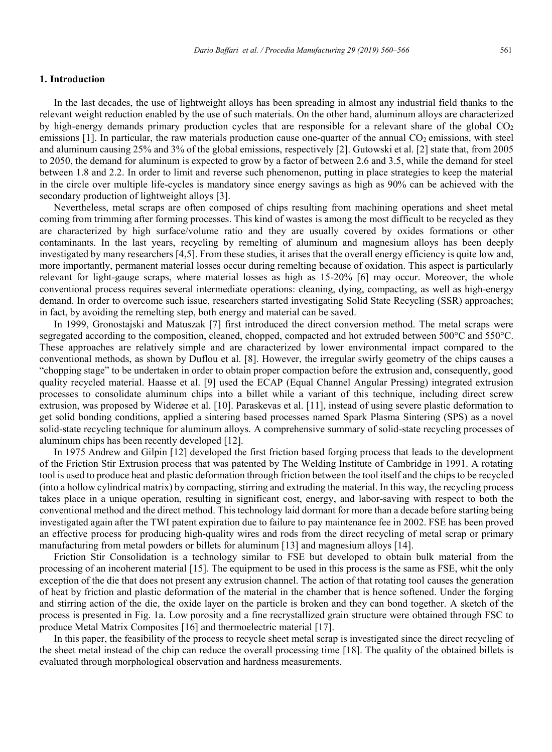#### **1. Introduction**

In the last decades, the use of lightweight alloys has been spreading in almost any industrial field thanks to the relevant weight reduction enabled by the use of such materials. On the other hand, aluminum alloys are characterized by high-energy demands primary production cycles that are responsible for a relevant share of the global  $CO<sub>2</sub>$ emissions  $[1]$ . In particular, the raw materials production cause one-quarter of the annual  $CO<sub>2</sub>$  emissions, with steel and aluminum causing 25% and 3% of the global emissions, respectively [2]. Gutowski et al. [2] state that, from 2005 to 2050, the demand for aluminum is expected to grow by a factor of between 2.6 and 3.5, while the demand for steel between 1.8 and 2.2. In order to limit and reverse such phenomenon, putting in place strategies to keep the material in the circle over multiple life-cycles is mandatory since energy savings as high as 90% can be achieved with the secondary production of lightweight alloys [3].

Nevertheless, metal scraps are often composed of chips resulting from machining operations and sheet metal coming from trimming after forming processes. This kind of wastes is among the most difficult to be recycled as they are characterized by high surface/volume ratio and they are usually covered by oxides formations or other contaminants. In the last years, recycling by remelting of aluminum and magnesium alloys has been deeply investigated by many researchers [4,5]. From these studies, it arises that the overall energy efficiency is quite low and, more importantly, permanent material losses occur during remelting because of oxidation. This aspect is particularly relevant for light-gauge scraps, where material losses as high as 15-20% [6] may occur. Moreover, the whole conventional process requires several intermediate operations: cleaning, dying, compacting, as well as high-energy demand. In order to overcome such issue, researchers started investigating Solid State Recycling (SSR) approaches; in fact, by avoiding the remelting step, both energy and material can be saved.

In 1999, Gronostajski and Matuszak [7] first introduced the direct conversion method. The metal scraps were segregated according to the composition, cleaned, chopped, compacted and hot extruded between 500°C and 550°C. These approaches are relatively simple and are characterized by lower environmental impact compared to the conventional methods, as shown by Duflou et al. [8]. However, the irregular swirly geometry of the chips causes a "chopping stage" to be undertaken in order to obtain proper compaction before the extrusion and, consequently, good quality recycled material. Haasse et al. [9] used the ECAP (Equal Channel Angular Pressing) integrated extrusion processes to consolidate aluminum chips into a billet while a variant of this technique, including direct screw extrusion, was proposed by Widerøe et al. [10]. Paraskevas et al. [11], instead of using severe plastic deformation to get solid bonding conditions, applied a sintering based processes named Spark Plasma Sintering (SPS) as a novel solid-state recycling technique for aluminum alloys. A comprehensive summary of solid-state recycling processes of aluminum chips has been recently developed [12].

In 1975 Andrew and Gilpin [12] developed the first friction based forging process that leads to the development of the Friction Stir Extrusion process that was patented by The Welding Institute of Cambridge in 1991. A rotating tool is used to produce heat and plastic deformation through friction between the tool itself and the chips to be recycled (into a hollow cylindrical matrix) by compacting, stirring and extruding the material. In this way, the recycling process takes place in a unique operation, resulting in significant cost, energy, and labor-saving with respect to both the conventional method and the direct method. This technology laid dormant for more than a decade before starting being investigated again after the TWI patent expiration due to failure to pay maintenance fee in 2002. FSE has been proved an effective process for producing high-quality wires and rods from the direct recycling of metal scrap or primary manufacturing from metal powders or billets for aluminum [13] and magnesium alloys [14].

Friction Stir Consolidation is a technology similar to FSE but developed to obtain bulk material from the processing of an incoherent material [15]. The equipment to be used in this process is the same as FSE, whit the only exception of the die that does not present any extrusion channel. The action of that rotating tool causes the generation of heat by friction and plastic deformation of the material in the chamber that is hence softened. Under the forging and stirring action of the die, the oxide layer on the particle is broken and they can bond together. A sketch of the process is presented in Fig. 1a. Low porosity and a fine recrystallized grain structure were obtained through FSC to produce Metal Matrix Composites [16] and thermoelectric material [17].

In this paper, the feasibility of the process to recycle sheet metal scrap is investigated since the direct recycling of the sheet metal instead of the chip can reduce the overall processing time [18]. The quality of the obtained billets is evaluated through morphological observation and hardness measurements.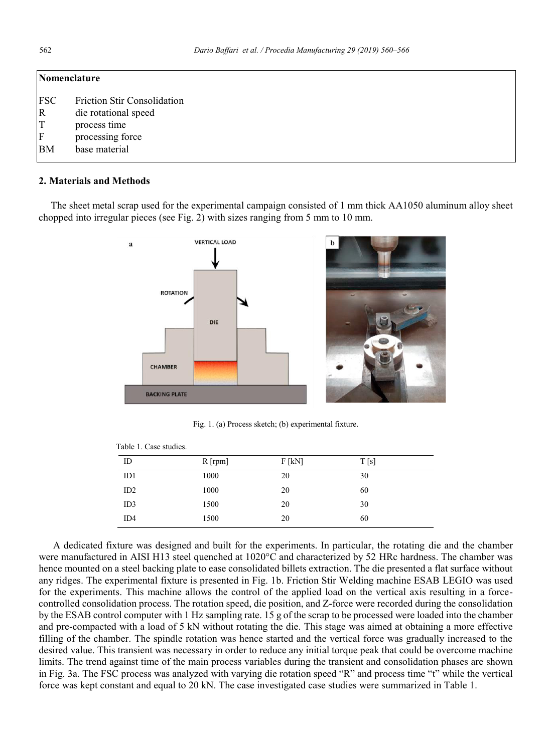|            | Nomenclature                       |  |  |
|------------|------------------------------------|--|--|
| <b>FSC</b> | <b>Friction Stir Consolidation</b> |  |  |
| R          | die rotational speed               |  |  |
| T          | process time                       |  |  |
| F          | processing force                   |  |  |
| <b>BM</b>  | base material                      |  |  |

# **2. Materials and Methods**

The sheet metal scrap used for the experimental campaign consisted of 1 mm thick AA1050 aluminum alloy sheet chopped into irregular pieces (see Fig. 2) with sizes ranging from 5 mm to 10 mm.



Fig. 1. (a) Process sketch; (b) experimental fixture.

| ID  | $R$ [rpm] | $F$ [kN] | T[s] |  |
|-----|-----------|----------|------|--|
| ID1 | 1000      | 20       | 30   |  |
| ID2 | 1000      | 20       | 60   |  |
| ID3 | 1500      | 20       | 30   |  |
| ID4 | 1500      | 20       | 60   |  |

| Table 1. Case studies. |  |
|------------------------|--|
|------------------------|--|

A dedicated fixture was designed and built for the experiments. In particular, the rotating die and the chamber were manufactured in AISI H13 steel quenched at 1020°C and characterized by 52 HRc hardness. The chamber was hence mounted on a steel backing plate to ease consolidated billets extraction. The die presented a flat surface without any ridges. The experimental fixture is presented in Fig. 1b. Friction Stir Welding machine ESAB LEGIO was used for the experiments. This machine allows the control of the applied load on the vertical axis resulting in a forcecontrolled consolidation process. The rotation speed, die position, and Z-force were recorded during the consolidation by the ESAB control computer with 1 Hz sampling rate. 15 g of the scrap to be processed were loaded into the chamber and pre-compacted with a load of 5 kN without rotating the die. This stage was aimed at obtaining a more effective filling of the chamber. The spindle rotation was hence started and the vertical force was gradually increased to the desired value. This transient was necessary in order to reduce any initial torque peak that could be overcome machine limits. The trend against time of the main process variables during the transient and consolidation phases are shown in Fig. 3a. The FSC process was analyzed with varying die rotation speed "R" and process time "t" while the vertical force was kept constant and equal to 20 kN. The case investigated case studies were summarized in Table 1.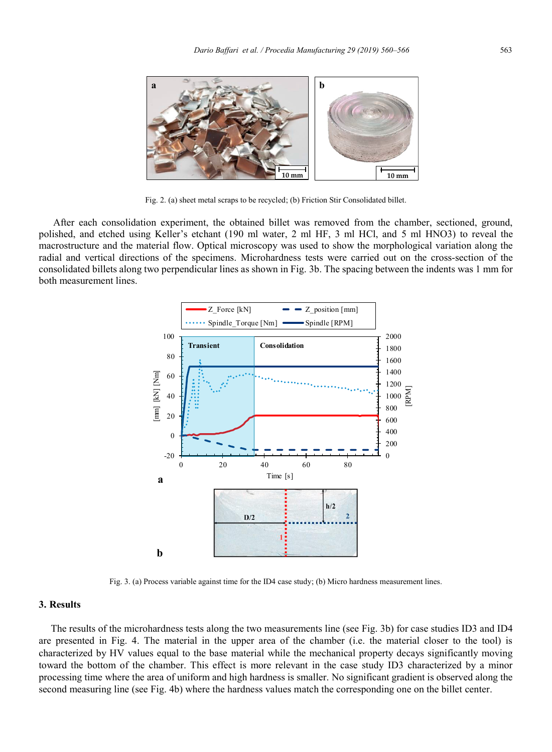

Fig. 2. (a) sheet metal scraps to be recycled; (b) Friction Stir Consolidated billet.

After each consolidation experiment, the obtained billet was removed from the chamber, sectioned, ground, polished, and etched using Keller's etchant (190 ml water, 2 ml HF, 3 ml HCl, and 5 ml HNO3) to reveal the macrostructure and the material flow. Optical microscopy was used to show the morphological variation along the radial and vertical directions of the specimens. Microhardness tests were carried out on the cross-section of the consolidated billets along two perpendicular lines as shown in Fig. 3b. The spacing between the indents was 1 mm for both measurement lines.



Fig. 3. (a) Process variable against time for the ID4 case study; (b) Micro hardness measurement lines.

### **3. Results**

The results of the microhardness tests along the two measurements line (see Fig. 3b) for case studies ID3 and ID4 are presented in Fig. 4. The material in the upper area of the chamber (i.e. the material closer to the tool) is characterized by HV values equal to the base material while the mechanical property decays significantly moving toward the bottom of the chamber. This effect is more relevant in the case study ID3 characterized by a minor processing time where the area of uniform and high hardness is smaller. No significant gradient is observed along the second measuring line (see Fig. 4b) where the hardness values match the corresponding one on the billet center.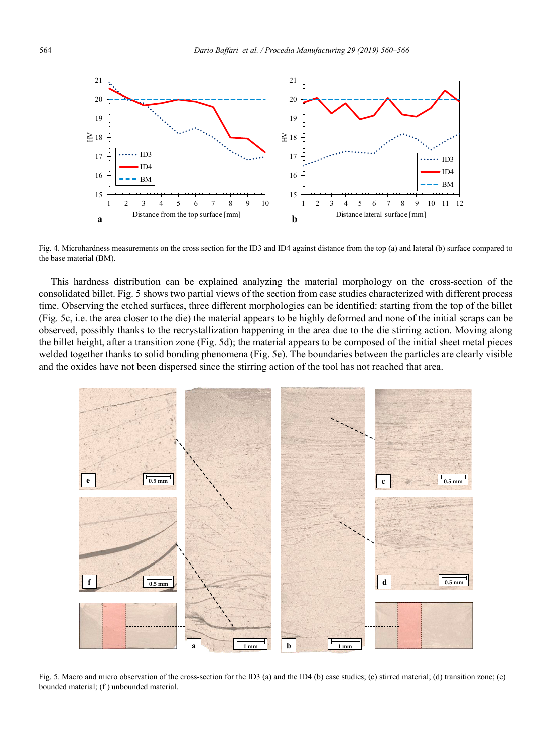

Fig. 4. Microhardness measurements on the cross section for the ID3 and ID4 against distance from the top (a) and lateral (b) surface compared to the base material (BM).

This hardness distribution can be explained analyzing the material morphology on the cross-section of the consolidated billet. Fig. 5 shows two partial views of the section from case studies characterized with different process time. Observing the etched surfaces, three different morphologies can be identified: starting from the top of the billet (Fig. 5c, i.e. the area closer to the die) the material appears to be highly deformed and none of the initial scraps can be observed, possibly thanks to the recrystallization happening in the area due to the die stirring action. Moving along the billet height, after a transition zone (Fig. 5d); the material appears to be composed of the initial sheet metal pieces welded together thanks to solid bonding phenomena (Fig. 5e). The boundaries between the particles are clearly visible and the oxides have not been dispersed since the stirring action of the tool has not reached that area.



Fig. 5. Macro and micro observation of the cross-section for the ID3 (a) and the ID4 (b) case studies; (c) stirred material; (d) transition zone; (e) bounded material; (f ) unbounded material.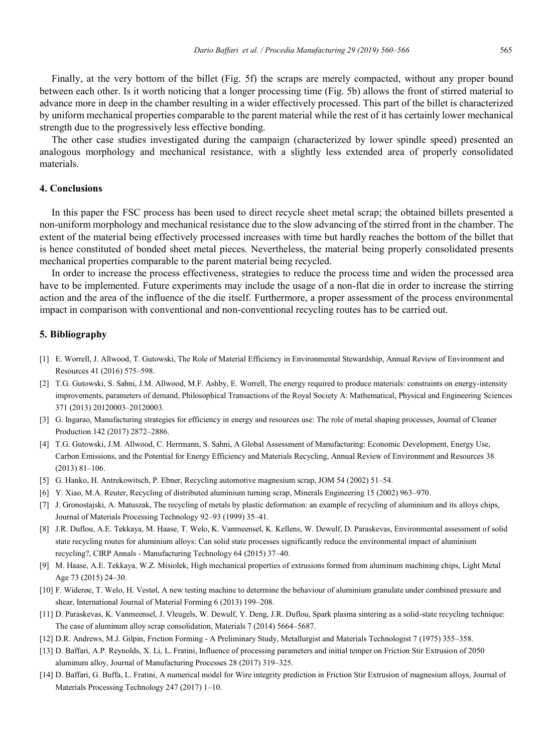Finally, at the very bottom of the billet (Fig. 5f) the scraps are merely compacted, without any proper bound between each other. Is it worth noticing that a longer processing time (Fig. 5b) allows the front of stirred material to advance more in deep in the chamber resulting in a wider effectively processed. This part of the billet is characterized by uniform mechanical properties comparable to the parent material while the rest of it has certainly lower mechanical strength due to the progressively less effective bonding.

The other case studies investigated during the campaign (characterized by lower spindle speed) presented an analogous morphology and mechanical resistance, with a slightly less extended area of properly consolidated materials.

# **4. Conclusions**

In this paper the FSC process has been used to direct recycle sheet metal scrap; the obtained billets presented a non-uniform morphology and mechanical resistance due to the slow advancing of the stirred front in the chamber. The extent of the material being effectively processed increases with time but hardly reaches the bottom of the billet that is hence constituted of bonded sheet metal pieces. Nevertheless, the material being properly consolidated presents mechanical properties comparable to the parent material being recycled.

In order to increase the process effectiveness, strategies to reduce the process time and widen the processed area have to be implemented. Future experiments may include the usage of a non-flat die in order to increase the stirring action and the area of the influence of the die itself. Furthermore, a proper assessment of the process environmental impact in comparison with conventional and non-conventional recycling routes has to be carried out.

#### **5. Bibliography**

- [1] E. Worrell, J. Allwood, T. Gutowski, The Role of Material Efficiency in Environmental Stewardship, Annual Review of Environment and Resources 41 (2016) 575–598.
- [2] T.G. Gutowski, S. Sahni, J.M. Allwood, M.F. Ashby, E. Worrell, The energy required to produce materials: constraints on energy-intensity improvements, parameters of demand, Philosophical Transactions of the Royal Society A: Mathematical, Physical and Engineering Sciences 371 (2013) 20120003–20120003.
- [3] G. Ingarao, Manufacturing strategies for efficiency in energy and resources use: The role of metal shaping processes, Journal of Cleaner Production 142 (2017) 2872–2886.
- [4] T.G. Gutowski, J.M. Allwood, C. Herrmann, S. Sahni, A Global Assessment of Manufacturing: Economic Development, Energy Use, Carbon Emissions, and the Potential for Energy Efficiency and Materials Recycling, Annual Review of Environment and Resources 38 (2013) 81–106.
- [5] G. Hanko, H. Antrekowitsch, P. Ebner, Recycling automotive magnesium scrap, JOM 54 (2002) 51–54.
- [6] Y. Xiao, M.A. Reuter, Recycling of distributed aluminium turning scrap, Minerals Engineering 15 (2002) 963–970.
- [7] J. Gronostajski, A. Matuszak, The recycling of metals by plastic deformation: an example of recycling of aluminium and its alloys chips, Journal of Materials Processing Technology 92–93 (1999) 35–41.
- [8] J.R. Duflou, A.E. Tekkaya, M. Haase, T. Welo, K. Vanmeensel, K. Kellens, W. Dewulf, D. Paraskevas, Environmental assessment of solid state recycling routes for aluminium alloys: Can solid state processes significantly reduce the environmental impact of aluminium recycling?, CIRP Annals - Manufacturing Technology 64 (2015) 37–40.
- [9] M. Haase, A.E. Tekkaya, W.Z. Misiolek, High mechanical properties of extrusions formed from aluminum machining chips, Light Metal Age 73 (2015) 24–30.
- [10] F. Widerøe, T. Welo, H. Vestøl, A new testing machine to determine the behaviour of aluminium granulate under combined pressure and shear, International Journal of Material Forming 6 (2013) 199–208.
- [11] D. Paraskevas, K. Vanmeensel, J. Vleugels, W. Dewulf, Y. Deng, J.R. Duflou, Spark plasma sintering as a solid-state recycling technique: The case of aluminum alloy scrap consolidation, Materials 7 (2014) 5664–5687.
- [12] D.R. Andrews, M.J. Gilpin, Friction Forming A Preliminary Study, Metallurgist and Materials Technologist 7 (1975) 355–358.
- [13] D. Baffari, A.P. Reynolds, X. Li, L. Fratini, Influence of processing parameters and initial temper on Friction Stir Extrusion of 2050 aluminum alloy, Journal of Manufacturing Processes 28 (2017) 319–325.
- [14] D. Baffari, G. Buffa, L. Fratini, A numerical model for Wire integrity prediction in Friction Stir Extrusion of magnesium alloys, Journal of Materials Processing Technology 247 (2017) 1–10.